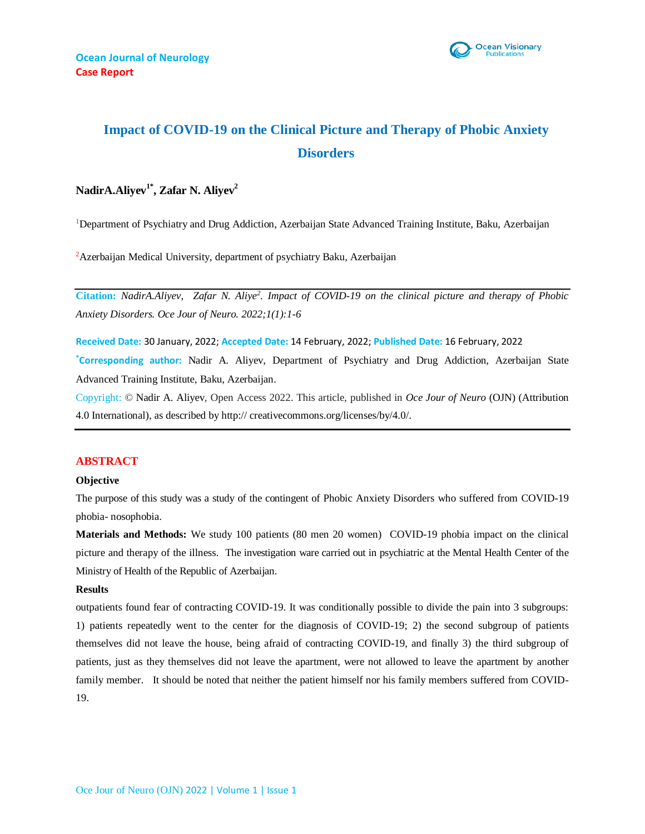

# **Impact of COVID-19 on the Clinical Picture and Therapy of Phobic Anxiety Disorders**

# **NadirA.Aliyev1\*, Zafar N. Aliyev<sup>2</sup>**

<sup>1</sup>Department of Psychiatry and Drug Addiction, Azerbaijan State Advanced Training Institute, Baku, Azerbaijan

<sup>2</sup>Azerbaijan Medical University, department of psychiatry Baku, Azerbaijan

**Citation:** *NadirA.Aliyev, Zafar N. Aliye<sup>2</sup> . Impact of COVID-19 on the clinical picture and therapy of Phobic Anxiety Disorders. Oce Jour of Neuro. 2022;1(1):1-6*

**Received Date:** 30 January, 2022; **Accepted Date:** 14 February, 2022; **Published Date:** 16 February, 2022 **\*Corresponding author:** Nadir A. Aliyev, Department of Psychiatry and Drug Addiction, Azerbaijan State Advanced Training Institute, Baku, Azerbaijan.

Copyright: © Nadir A. Aliyev, Open Access 2022. This article, published in *Oce Jour of Neuro* (OJN) (Attribution 4.0 International), as described by http:// creativecommons.org/licenses/by/4.0/.

#### **ABSTRACT**

#### **Objective**

The purpose of this study was a study of the contingent of Phobic Anxiety Disorders who suffered from COVID-19 phobia- nosophobia.

**Materials and Methods:** We study 100 patients (80 men 20 women) COVID-19 phobia impact on the clinical picture and therapy of the illness. The investigation ware carried out in psychiatric at the Mental Health Center of the Ministry of Health of the Republic of Azerbaijan.

#### **Results**

outpatients found fear of contracting COVID-19. It was conditionally possible to divide the pain into 3 subgroups: 1) patients repeatedly went to the center for the diagnosis of COVID-19; 2) the second subgroup of patients themselves did not leave the house, being afraid of contracting COVID-19, and finally 3) the third subgroup of patients, just as they themselves did not leave the apartment, were not allowed to leave the apartment by another family member. It should be noted that neither the patient himself nor his family members suffered from COVID-19.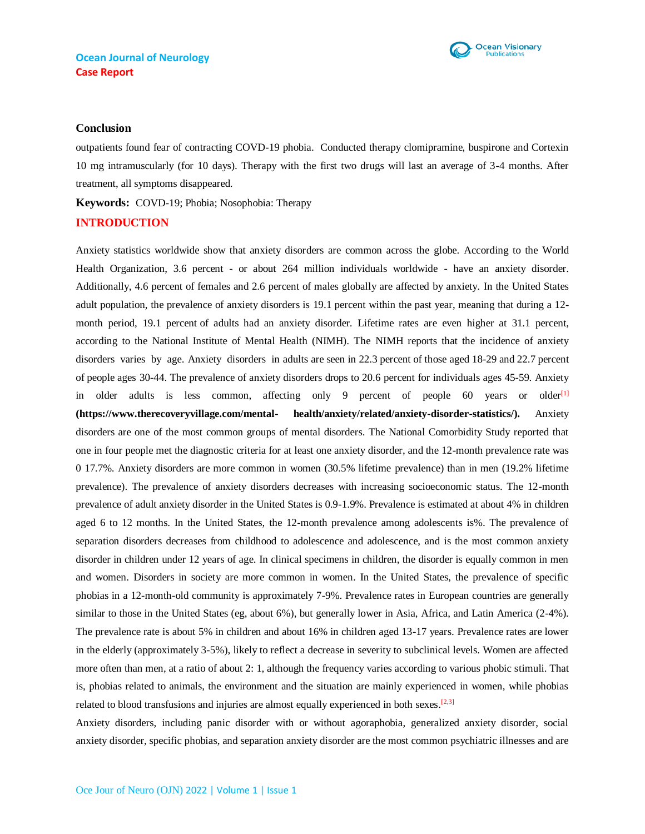

#### **Conclusion**

outpatients found fear of contracting COVD-19 phobia. Conducted therapy clomipramine, buspirone and Cortexin 10 mg intramuscularly (for 10 days). Therapy with the first two drugs will last an average of 3-4 months. After treatment, all symptoms disappeared.

**Keywords:** COVD-19; Phobia; Nosophobia: Therapy

## **INTRODUCTION**

Anxiety statistics worldwide show that anxiety disorders are common across the globe. According to the [World](https://apps.who.int/iris/bitstream/handle/10665/254610/WHO-MSD-MER-2017.2-eng.pdf?sequence=1)  [Health Organization, 3](https://apps.who.int/iris/bitstream/handle/10665/254610/WHO-MSD-MER-2017.2-eng.pdf?sequence=1).6 percent - or about 264 million individuals worldwide - have an anxiety disorder. Additionally, 4.6 percent of females and 2.6 percent of males globally are affected by anxiety. In the United States adult population, the prevalence of anxiety disorders is [19.1](https://www.nimh.nih.gov/health/statistics/any-anxiety-disorder.shtml) [percent w](https://www.nimh.nih.gov/health/statistics/any-anxiety-disorder.shtml)ithin the past year, meaning that during a 12 month period, 19.1 percent of adults had an anxiety disorder. Lifetime rates are even higher at [31.1 percent,](https://www.nimh.nih.gov/health/statistics/any-anxiety-disorder.shtml) according to the National Institute of Mental Health (NIMH). The [NIMH r](https://www.nimh.nih.gov/health/statistics/any-anxiety-disorder.shtml)eports that the incidence of anxiety disorders varies by age. Anxiety disorders in adults are seen in 22.3 percent of those aged 18-29 and 22.7 percent of people ages 30-44. The prevalence of anxiety disorders drops to 20.6 percent for individuals ages 45-59. Anxiety in older adults is less common, affecting only 9 percent of people 60 years or older $[1]$ **[\(https://www.therecoveryvillage.com/mental-](https://www.therecoveryvillage.com/mental-health/anxiety/related/anxiety-disorder-statistics/) [health/anxiety/related/anxiety-disorder-statistics/\)](https://www.therecoveryvillage.com/mental-health/anxiety/related/anxiety-disorder-statistics/).** Anxiety disorders are one of the most common groups of mental disorders. The National Comorbidity Study reported that one in four people met the diagnostic criteria for at least one anxiety disorder, and the 12-month prevalence rate was 0 17.7%. Anxiety disorders are more common in women (30.5% lifetime prevalence) than in men (19.2% lifetime prevalence). The prevalence of anxiety disorders decreases with increasing socioeconomic status. The 12-month prevalence of adult anxiety disorder in the United States is 0.9-1.9%. Prevalence is estimated at about 4% in children aged 6 to 12 months. In the United States, the 12-month prevalence among adolescents is%. The prevalence of separation disorders decreases from childhood to adolescence and adolescence, and is the most common anxiety disorder in children under 12 years of age. In clinical specimens in children, the disorder is equally common in men and women. Disorders in society are more common in women. In the United States, the prevalence of specific phobias in a 12-month-old community is approximately 7-9%. Prevalence rates in European countries are generally similar to those in the United States (eg, about 6%), but generally lower in Asia, Africa, and Latin America (2-4%). The prevalence rate is about 5% in children and about 16% in children aged 13-17 years. Prevalence rates are lower in the elderly (approximately 3-5%), likely to reflect a decrease in severity to subclinical levels. Women are affected more often than men, at a ratio of about 2: 1, although the frequency varies according to various phobic stimuli. That is, phobias related to animals, the environment and the situation are mainly experienced in women, while phobias related to blood transfusions and injuries are almost equally experienced in both sexes.<sup>[2,3]</sup>

Anxiety disorders, including panic disorder with or without agoraphobia, generalized anxiety disorder, social anxiety disorder, specific phobias, and separation anxiety disorder are the most common psychiatric illnesses and are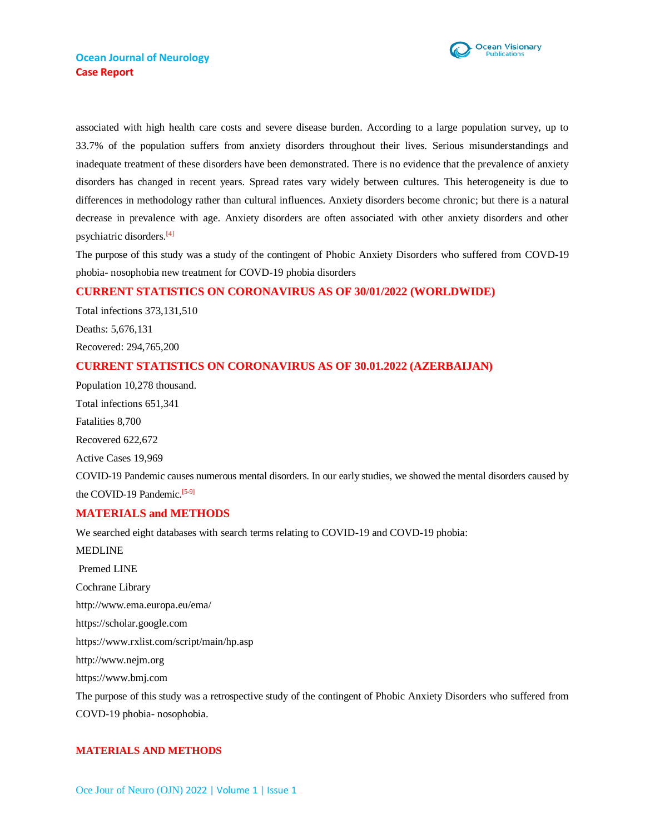

associated with high health care costs and severe disease burden. According to a large population survey, up to 33.7% of the population suffers from anxiety disorders throughout their lives. Serious misunderstandings and inadequate treatment of these disorders have been demonstrated. There is no evidence that the prevalence of anxiety disorders has changed in recent years. Spread rates vary widely between cultures. This heterogeneity is due to differences in methodology rather than cultural influences. Anxiety disorders become chronic; but there is a natural decrease in prevalence with age. Anxiety disorders are often associated with other anxiety disorders and other psychiatric disorders. [4]

The purpose of this study was a study of the contingent of Phobic Anxiety Disorders who suffered from COVD-19 phobia- nosophobia new treatment for COVD-19 phobia disorders

## **CURRENT STATISTICS ON CORONAVIRUS AS OF 30/01/2022 (WORLDWIDE)**

Total infections 373,131,510 Deaths: 5,676,131 Recovered: 294,765,200

## **CURRENT STATISTICS ON CORONAVIRUS AS OF 30.01.2022 (AZERBAIJAN)**

Population 10,278 thousand. Total infections 651,341 Fatalities 8,700 Recovered 622,672 Active Cases 19,969 COVID-19 Pandemic causes numerous mental disorders. In our early studies, we showed the mental disorders caused by the COVID-19 Pandemic.<sup>[5-9]</sup>

## **MATERIALS and METHODS**

We searched eight databases with search terms relating to COVID-19 and COVD-19 phobia: MEDLINE Premed LINE Cochrane Library http://www.ema.europa.eu/ema/ https://scholar.google.com https://www.rxlist.com/script/main/hp.asp http://www.nejm.org https://www.bmj.com The purpose of this study was a retrospective study of the contingent of Phobic Anxiety Disorders who suffered from COVD-19 phobia- nosophobia.

## **MATERIALS AND METHODS**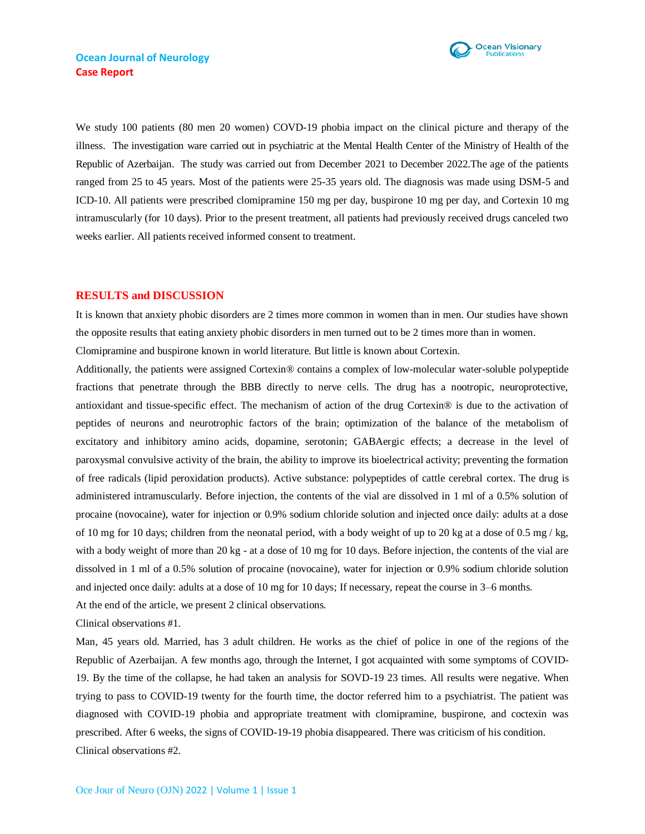

We study 100 patients (80 men 20 women) COVD-19 phobia impact on the clinical picture and therapy of the illness. The investigation ware carried out in psychiatric at the Mental Health Center of the Ministry of Health of the Republic of Azerbaijan. The study was carried out from December 2021 to December 2022.The age of the patients ranged from 25 to 45 years. Most of the patients were 25-35 years old. The diagnosis was made using DSM-5 and ICD-10. All patients were prescribed clomipramine 150 mg per day, buspirone 10 mg per day, and Cortexin 10 mg intramuscularly (for 10 days). Prior to the present treatment, all patients had previously received drugs canceled two weeks earlier. All patients received informed consent to treatment.

#### **RESULTS and DISCUSSION**

It is known that anxiety phobic disorders are 2 times more common in women than in men. Our studies have shown the opposite results that eating anxiety phobic disorders in men turned out to be 2 times more than in women.

Clomipramine and buspirone known in world literature. But little is known about Cortexin.

Additionally, the patients were assigned Cortexin® contains a complex of low-molecular water-soluble polypeptide fractions that penetrate through the BBB directly to nerve cells. The drug has a nootropic, neuroprotective, antioxidant and tissue-specific effect. The mechanism of action of the drug Cortexin® is due to the activation of peptides of neurons and neurotrophic factors of the brain; optimization of the balance of the metabolism of excitatory and inhibitory amino acids, dopamine, serotonin; GABAergic effects; a decrease in the level of paroxysmal convulsive activity of the brain, the ability to improve its bioelectrical activity; preventing the formation of free radicals (lipid peroxidation products). Active substance: polypeptides of cattle cerebral cortex. The drug is administered intramuscularly. Before injection, the contents of the vial are dissolved in 1 ml of a 0.5% solution of procaine (novocaine), water for injection or 0.9% sodium chloride solution and injected once daily: adults at a dose of 10 mg for 10 days; children from the neonatal period, with a body weight of up to 20 kg at a dose of 0.5 mg / kg, with a body weight of more than 20 kg - at a dose of 10 mg for 10 days. Before injection, the contents of the vial are dissolved in 1 ml of a 0.5% solution of procaine (novocaine), water for injection or 0.9% sodium chloride solution and injected once daily: adults at a dose of 10 mg for 10 days; If necessary, repeat the course in 3–6 months. At the end of the article, we present 2 clinical observations.

Clinical observations #1.

Man, 45 years old. Married, has 3 adult children. He works as the chief of police in one of the regions of the Republic of Azerbaijan. A few months ago, through the Internet, I got acquainted with some symptoms of COVID-19. By the time of the collapse, he had taken an analysis for SOVD-19 23 times. All results were negative. When trying to pass to COVID-19 twenty for the fourth time, the doctor referred him to a psychiatrist. The patient was diagnosed with COVID-19 phobia and appropriate treatment with clomipramine, buspirone, and coctexin was prescribed. After 6 weeks, the signs of COVID-19-19 phobia disappeared. There was criticism of his condition. Clinical observations #2.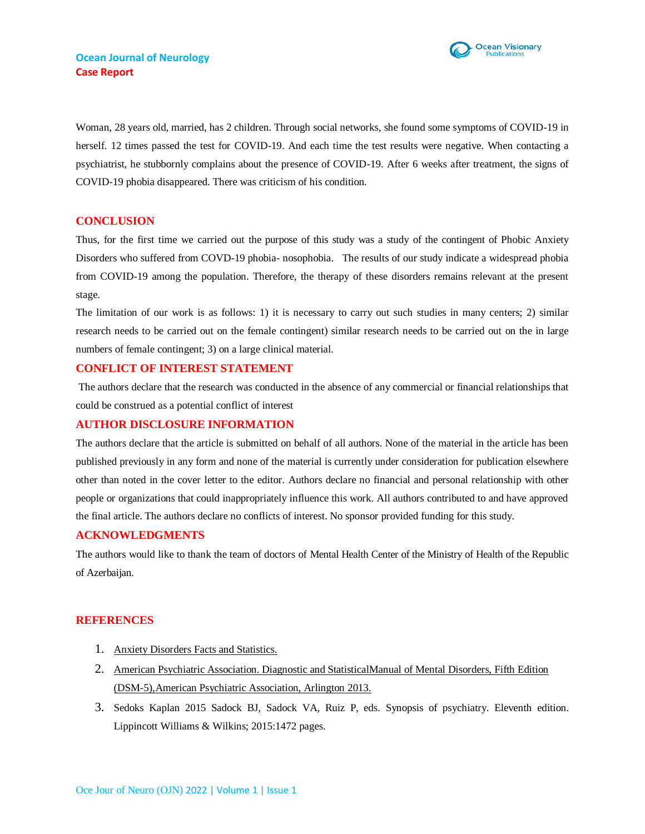

Woman, 28 years old, married, has 2 children. Through social networks, she found some symptoms of COVID-19 in herself. 12 times passed the test for COVID-19. And each time the test results were negative. When contacting a psychiatrist, he stubbornly complains about the presence of COVID-19. After 6 weeks after treatment, the signs of COVID-19 phobia disappeared. There was criticism of his condition.

## **CONCLUSION**

Thus, for the first time we carried out the purpose of this study was a study of the contingent of Phobic Anxiety Disorders who suffered from COVD-19 phobia- nosophobia. The results of our study indicate a widespread phobia from COVID-19 among the population. Therefore, the therapy of these disorders remains relevant at the present stage.

The limitation of our work is as follows: 1) it is necessary to carry out such studies in many centers; 2) similar research needs to be carried out on the female contingent) similar research needs to be carried out on the in large numbers of female contingent; 3) on a large clinical material.

## **CONFLICT OF INTEREST STATEMENT**

The authors declare that the research was conducted in the absence of any commercial or financial relationships that could be construed as a potential conflict of interest

## **AUTHOR DISCLOSURE INFORMATION**

The authors declare that the article is submitted on behalf of all authors. None of the material in the article has been published previously in any form and none of the material is currently under consideration for publication elsewhere other than noted in the cover letter to the editor. Authors declare no financial and personal relationship with other people or organizations that could inappropriately influence this work. All authors contributed to and have approved the final article. The authors declare no conflicts of interest. No sponsor provided funding for this study.

## **ACKNOWLEDGMENTS**

The authors would like to thank the team of doctors of Mental Health Center of the Ministry of Health of the Republic of Azerbaijan.

## **REFERENCES**

- 1. [Anxiety Disorders Facts and Statistics.](https://www.therecoveryvillage.com/mental-%20health/anxiety/related/anxiety-disorder-statistics/)
- 2. American Psychiatric Association. Diagnostic and [StatisticalManual](http://repository.poltekkes-kaltim.ac.id/657/1/Diagnostic%20and%20statistical%20manual%20of%20mental%20disorders%20_%20DSM-5%20%28%20PDFDrive.com%20%29.pdf) of Mental Disorders, Fifth Edition [\(DSM-5\),American Psychiatric Association,](http://repository.poltekkes-kaltim.ac.id/657/1/Diagnostic%20and%20statistical%20manual%20of%20mental%20disorders%20_%20DSM-5%20%28%20PDFDrive.com%20%29.pdf) Arlington 2013.
- 3. Sedoks Kaplan 2015 Sadock BJ, Sadock VA, Ruiz P, eds. Synopsis of psychiatry. Eleventh edition. Lippincott Williams & Wilkins; 2015:1472 pages.